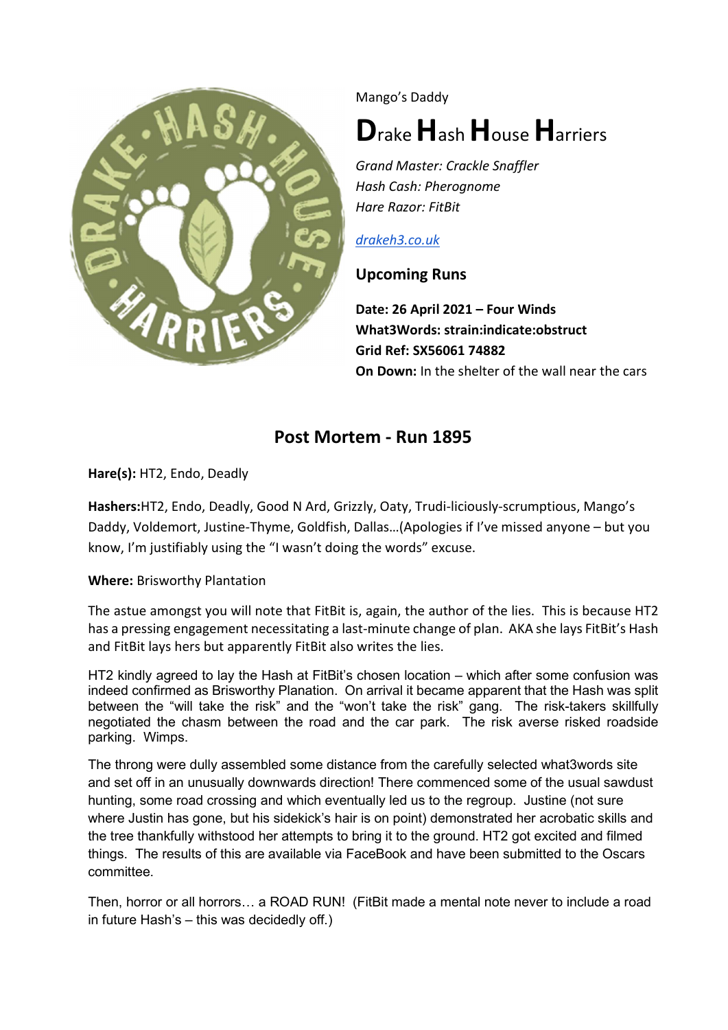

Mango's Daddy

# Drake Hash House Harriers

Grand Master: Crackle Snaffler Hash Cash: Pherognome Hare Razor: FitBit

#### drakeh3.co.uk

### Upcoming Runs

Date: 26 April 2021 – Four Winds What3Words: strain:indicate:obstruct Grid Ref: SX56061 74882 On Down: In the shelter of the wall near the cars

## Post Mortem - Run 1895

Hare(s): HT2, Endo, Deadly

Hashers:HT2, Endo, Deadly, Good N Ard, Grizzly, Oaty, Trudi-liciously-scrumptious, Mango's Daddy, Voldemort, Justine-Thyme, Goldfish, Dallas…(Apologies if I've missed anyone – but you know, I'm justifiably using the "I wasn't doing the words" excuse.

#### Where: Brisworthy Plantation

The astue amongst you will note that FitBit is, again, the author of the lies. This is because HT2 has a pressing engagement necessitating a last-minute change of plan. AKA she lays FitBit's Hash and FitBit lays hers but apparently FitBit also writes the lies.

HT2 kindly agreed to lay the Hash at FitBit's chosen location – which after some confusion was indeed confirmed as Brisworthy Planation. On arrival it became apparent that the Hash was split between the "will take the risk" and the "won't take the risk" gang. The risk-takers skillfully negotiated the chasm between the road and the car park. The risk averse risked roadside parking. Wimps.

The throng were dully assembled some distance from the carefully selected what3words site and set off in an unusually downwards direction! There commenced some of the usual sawdust hunting, some road crossing and which eventually led us to the regroup. Justine (not sure where Justin has gone, but his sidekick's hair is on point) demonstrated her acrobatic skills and the tree thankfully withstood her attempts to bring it to the ground. HT2 got excited and filmed things. The results of this are available via FaceBook and have been submitted to the Oscars committee.

Then, horror or all horrors… a ROAD RUN! (FitBit made a mental note never to include a road in future Hash's – this was decidedly off.)